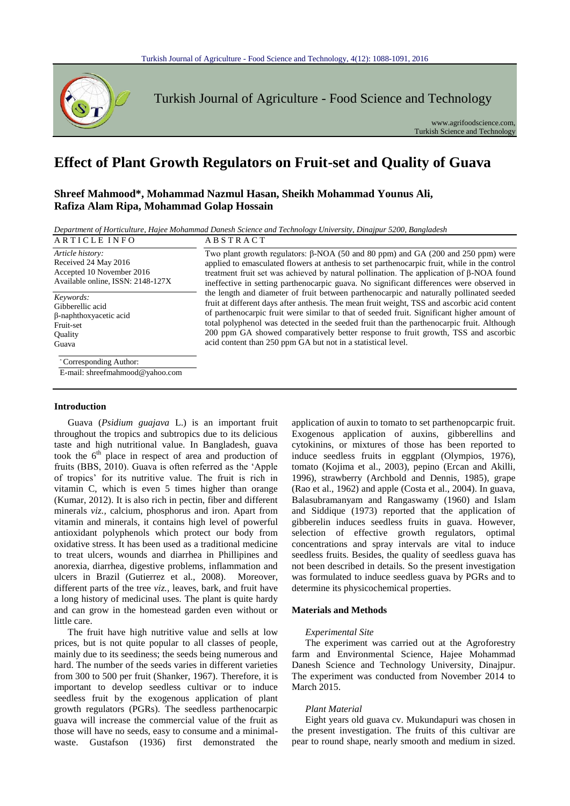

Turkish Journal of Agriculture - Food Science and Technology

www.agrifoodscience.com, Turkish Science and Technology

# **Effect of Plant Growth Regulators on Fruit-set and Quality of Guava**

## **Shreef Mahmood\*, Mohammad Nazmul Hasan, Sheikh Mohammad Younus Ali, Rafiza Alam Ripa, Mohammad Golap Hossain**

*Department of Horticulture, Hajee Mohammad Danesh Science and Technology University, Dinajpur 5200, Bangladesh*

| ARTICLE INFO                                              | <b>ABSTRACT</b>                                                                                |  |  |
|-----------------------------------------------------------|------------------------------------------------------------------------------------------------|--|--|
| Article history:                                          | Two plant growth regulators: $\beta$ -NOA (50 and 80 ppm) and GA (200 and 250 ppm) were        |  |  |
| Received 24 May 2016                                      | applied to emasculated flowers at anthesis to set parthenocarpic fruit, while in the control   |  |  |
| Accepted 10 November 2016                                 | treatment fruit set was achieved by natural pollination. The application of $\beta$ -NOA found |  |  |
| Available online, ISSN: 2148-127X                         | ineffective in setting parthenocarpic guava. No significant differences were observed in       |  |  |
| Keywords:                                                 | the length and diameter of fruit between parthenocarpic and naturally pollinated seeded        |  |  |
| Gibberellic acid                                          | fruit at different days after anthesis. The mean fruit weight, TSS and ascorbic acid content   |  |  |
| β-naphthoxyacetic acid                                    | of parthenocarpic fruit were similar to that of seeded fruit. Significant higher amount of     |  |  |
| Fruit-set                                                 | total polyphenol was detected in the seeded fruit than the parthenocarpic fruit. Although      |  |  |
| Quality                                                   | 200 ppm GA showed comparatively better response to fruit growth, TSS and ascorbic              |  |  |
| Guava                                                     | acid content than 250 ppm GA but not in a statistical level.                                   |  |  |
| *Corresponding Author:<br>E-mail: shreefmahmood@yahoo.com |                                                                                                |  |  |

## **Introduction**

Guava (*Psidium guajava* L.) is an important fruit throughout the tropics and subtropics due to its delicious taste and high nutritional value. In Bangladesh, guava took the  $6<sup>th</sup>$  place in respect of area and production of fruits (BBS, 2010). Guava is often referred as the 'Apple of tropics' for its nutritive value. The fruit is rich in vitamin C, which is even 5 times higher than orange (Kumar, 2012). It is also rich in pectin, fiber and different minerals *viz.,* calcium, phosphorus and iron. Apart from vitamin and minerals, it contains high level of powerful antioxidant polyphenols which protect our body from oxidative stress. It has been used as a traditional medicine to treat ulcers, wounds and diarrhea in Phillipines and anorexia, diarrhea, digestive problems, inflammation and ulcers in Brazil (Gutierrez et al., 2008). Moreover, different parts of the tree *viz.,* leaves, bark, and fruit have a long history of medicinal uses. The plant is quite hardy and can grow in the homestead garden even without or little care.

The fruit have high nutritive value and sells at low prices, but is not quite popular to all classes of people, mainly due to its seediness; the seeds being numerous and hard. The number of the seeds varies in different varieties from 300 to 500 per fruit (Shanker, 1967). Therefore, it is important to develop seedless cultivar or to induce seedless fruit by the exogenous application of plant growth regulators (PGRs). The seedless parthenocarpic guava will increase the commercial value of the fruit as those will have no seeds, easy to consume and a minimalwaste. Gustafson (1936) first demonstrated the

application of auxin to tomato to set parthenopcarpic fruit. Exogenous application of auxins, gibberellins and cytokinins, or mixtures of those has been reported to induce seedless fruits in eggplant (Olympios, 1976), tomato (Kojima et al., 2003), pepino (Ercan and Akilli, 1996), strawberry (Archbold and Dennis, 1985), grape (Rao et al., 1962) and apple (Costa et al., 2004). In guava, Balasubramanyam and Rangaswamy (1960) and Islam and Siddique (1973) reported that the application of gibberelin induces seedless fruits in guava. However, selection of effective growth regulators, optimal concentrations and spray intervals are vital to induce seedless fruits. Besides, the quality of seedless guava has not been described in details. So the present investigation was formulated to induce seedless guava by PGRs and to determine its physicochemical properties.

## **Materials and Methods**

## *Experimental Site*

The experiment was carried out at the Agroforestry farm and Environmental Science, Hajee Mohammad Danesh Science and Technology University, Dinajpur. The experiment was conducted from November 2014 to March 2015.

## *Plant Material*

Eight years old guava cv. Mukundapuri was chosen in the present investigation. The fruits of this cultivar are pear to round shape, nearly smooth and medium in sized.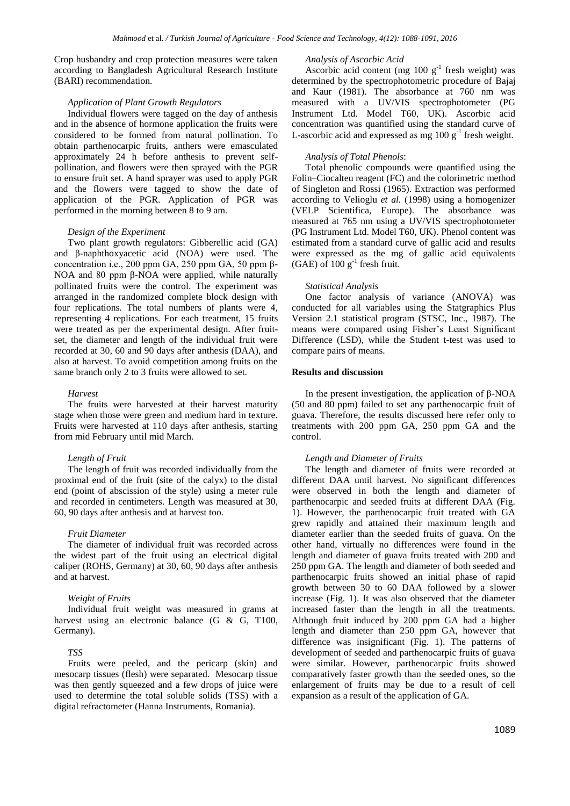Crop husbandry and crop protection measures were taken according to Bangladesh Agricultural Research Institute (BARI) recommendation.

## *Application of Plant Growth Regulators*

Individual flowers were tagged on the day of anthesis and in the absence of hormone application the fruits were considered to be formed from natural pollination. To obtain parthenocarpic fruits, anthers were emasculated approximately 24 h before anthesis to prevent selfpollination, and flowers were then sprayed with the PGR to ensure fruit set. A hand sprayer was used to apply PGR and the flowers were tagged to show the date of application of the PGR. Application of PGR was performed in the morning between 8 to 9 am.

#### *Design of the Experiment*

Two plant growth regulators: Gibberellic acid (GA) and β-naphthoxyacetic acid (NOA) were used. The concentration i.e., 200 ppm GA, 250 ppm GA, 50 ppm β-NOA and 80 ppm β-NOA were applied, while naturally pollinated fruits were the control. The experiment was arranged in the randomized complete block design with four replications. The total numbers of plants were 4, representing 4 replications. For each treatment, 15 fruits were treated as per the experimental design. After fruitset, the diameter and length of the individual fruit were recorded at 30, 60 and 90 days after anthesis (DAA), and also at harvest. To avoid competition among fruits on the same branch only 2 to 3 fruits were allowed to set.

#### *Harvest*

The fruits were harvested at their harvest maturity stage when those were green and medium hard in texture. Fruits were harvested at 110 days after anthesis, starting from mid February until mid March.

#### *Length of Fruit*

The length of fruit was recorded individually from the proximal end of the fruit (site of the calyx) to the distal end (point of abscission of the style) using a meter rule and recorded in centimeters. Length was measured at 30, 60, 90 days after anthesis and at harvest too.

#### *Fruit Diameter*

The diameter of individual fruit was recorded across the widest part of the fruit using an electrical digital caliper (ROHS, Germany) at 30, 60, 90 days after anthesis and at harvest.

#### *Weight of Fruits*

Individual fruit weight was measured in grams at harvest using an electronic balance (G & G, T100, Germany).

## *TSS*

Fruits were peeled, and the pericarp (skin) and mesocarp tissues (flesh) were separated. Mesocarp tissue was then gently squeezed and a few drops of juice were used to determine the total soluble solids (TSS) with a digital refractometer (Hanna Instruments, Romania).

#### *Analysis of Ascorbic Acid*

Ascorbic acid content (mg  $100 \text{ g}^{-1}$  fresh weight) was determined by the spectrophotometric procedure of Bajaj and Kaur (1981). The absorbance at 760 nm was measured with a UV/VIS spectrophotometer (PG Instrument Ltd. Model T60, UK). Ascorbic acid concentration was quantified using the standard curve of L-ascorbic acid and expressed as mg  $100 \text{ g}^{-1}$  fresh weight.

## *Analysis of Total Phenols*:

Total phenolic compounds were quantified using the Folin–Ciocalteu reagent (FC) and the colorimetric method of Singleton and Rossi (1965). Extraction was performed according to Velioglu *et al.* (1998) using a homogenizer (VELP Scientifica, Europe). The absorbance was measured at 765 nm using a UV/VIS spectrophotometer (PG Instrument Ltd. Model T60, UK). Phenol content was estimated from a standard curve of gallic acid and results were expressed as the mg of gallic acid equivalents  $(GAE)$  of 100  $g^{-1}$  fresh fruit.

#### *Statistical Analysis*

One factor analysis of variance (ANOVA) was conducted for all variables using the Statgraphics Plus Version 2.1 statistical program (STSC, Inc., 1987). The means were compared using Fisher's Least Significant Difference (LSD), while the Student t-test was used to compare pairs of means.

## **Results and discussion**

In the present investigation, the application of β-NOA (50 and 80 ppm) failed to set any parthenocarpic fruit of guava. Therefore, the results discussed here refer only to treatments with 200 ppm GA, 250 ppm GA and the control.

#### *Length and Diameter of Fruits*

The length and diameter of fruits were recorded at different DAA until harvest. No significant differences were observed in both the length and diameter of parthenocarpic and seeded fruits at different DAA (Fig. 1). However, the parthenocarpic fruit treated with GA grew rapidly and attained their maximum length and diameter earlier than the seeded fruits of guava. On the other hand, virtually no differences were found in the length and diameter of guava fruits treated with 200 and 250 ppm GA. The length and diameter of both seeded and parthenocarpic fruits showed an initial phase of rapid growth between 30 to 60 DAA followed by a slower increase (Fig. 1). It was also observed that the diameter increased faster than the length in all the treatments. Although fruit induced by 200 ppm GA had a higher length and diameter than 250 ppm GA, however that difference was insignificant (Fig. 1). The patterns of development of seeded and parthenocarpic fruits of guava were similar. However, parthenocarpic fruits showed comparatively faster growth than the seeded ones, so the enlargement of fruits may be due to a result of cell expansion as a result of the application of GA.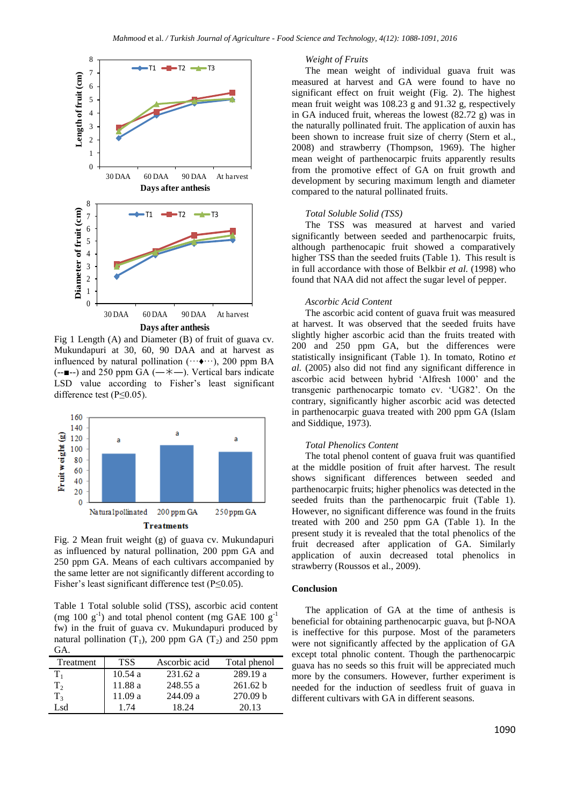

Fig 1 Length (A) and Diameter (B) of fruit of guava cv. Mukundapuri at 30, 60, 90 DAA and at harvest as influenced by natural pollination  $(\cdots \bullet \cdots)$ , 200 ppm BA  $(-\blacksquare -)$  and 250 ppm GA  $(-\uparrow \smile -)$ . Vertical bars indicate LSD value according to Fisher's least significant difference test (P≤0.05).



Fig. 2 Mean fruit weight (g) of guava cv. Mukundapuri as influenced by natural pollination, 200 ppm GA and 250 ppm GA. Means of each cultivars accompanied by the same letter are not significantly different according to Fisher's least significant difference test (P≤0.05).

Table 1 Total soluble solid (TSS), ascorbic acid content (mg 100  $g^{-1}$ ) and total phenol content (mg GAE 100  $g^{-1}$ fw) in the fruit of guava cv. Mukundapuri produced by natural pollination  $(T_1)$ , 200 ppm GA  $(T_2)$  and 250 ppm GA.

| Treatment      | <b>TSS</b> | Ascorbic acid | Total phenol        |
|----------------|------------|---------------|---------------------|
| $T_{1}$        | 10.54a     | 231.62a       | 289.19 a            |
| $T_{2}$        | 11.88 a    | 248.55 a      | 261.62 b            |
| T <sub>3</sub> | 11.09a     | 244.09a       | 270.09 <sub>b</sub> |
| Lsd.           | 1.74       | 18.24         | 20.13               |

## *Weight of Fruits*

The mean weight of individual guava fruit was measured at harvest and GA were found to have no significant effect on fruit weight (Fig. 2). The highest mean fruit weight was 108.23 g and 91.32 g, respectively in GA induced fruit, whereas the lowest (82.72 g) was in the naturally pollinated fruit. The application of auxin has been shown to increase fruit size of cherry (Stern et al., 2008) and strawberry (Thompson, 1969). The higher mean weight of parthenocarpic fruits apparently results from the promotive effect of GA on fruit growth and development by securing maximum length and diameter compared to the natural pollinated fruits.

## *Total Soluble Solid (TSS)*

The TSS was measured at harvest and varied significantly between seeded and parthenocarpic fruits, although parthenocapic fruit showed a comparatively higher TSS than the seeded fruits (Table 1). This result is in full accordance with those of Belkbir *et al.* (1998) who found that NAA did not affect the sugar level of pepper.

## *Ascorbic Acid Content*

The ascorbic acid content of guava fruit was measured at harvest. It was observed that the seeded fruits have slightly higher ascorbic acid than the fruits treated with 200 and 250 ppm GA, but the differences were statistically insignificant (Table 1). In tomato, Rotino *et al.* (2005) also did not find any significant difference in ascorbic acid between hybrid 'Alfresh 1000' and the transgenic parthenocarpic tomato cv. 'UG82'. On the contrary, significantly higher ascorbic acid was detected in parthenocarpic guava treated with 200 ppm GA (Islam and Siddique, 1973).

## *Total Phenolics Content*

The total phenol content of guava fruit was quantified at the middle position of fruit after harvest. The result shows significant differences between seeded and parthenocarpic fruits; higher phenolics was detected in the seeded fruits than the parthenocarpic fruit (Table 1). However, no significant difference was found in the fruits treated with 200 and 250 ppm GA (Table 1). In the present study it is revealed that the total phenolics of the fruit decreased after application of GA. Similarly application of auxin decreased total phenolics in strawberry (Roussos et al., 2009).

## **Conclusion**

The application of GA at the time of anthesis is beneficial for obtaining parthenocarpic guava, but β-NOA is ineffective for this purpose. Most of the parameters were not significantly affected by the application of GA except total phnolic content. Though the parthenocarpic guava has no seeds so this fruit will be appreciated much more by the consumers. However, further experiment is needed for the induction of seedless fruit of guava in different cultivars with GA in different seasons.